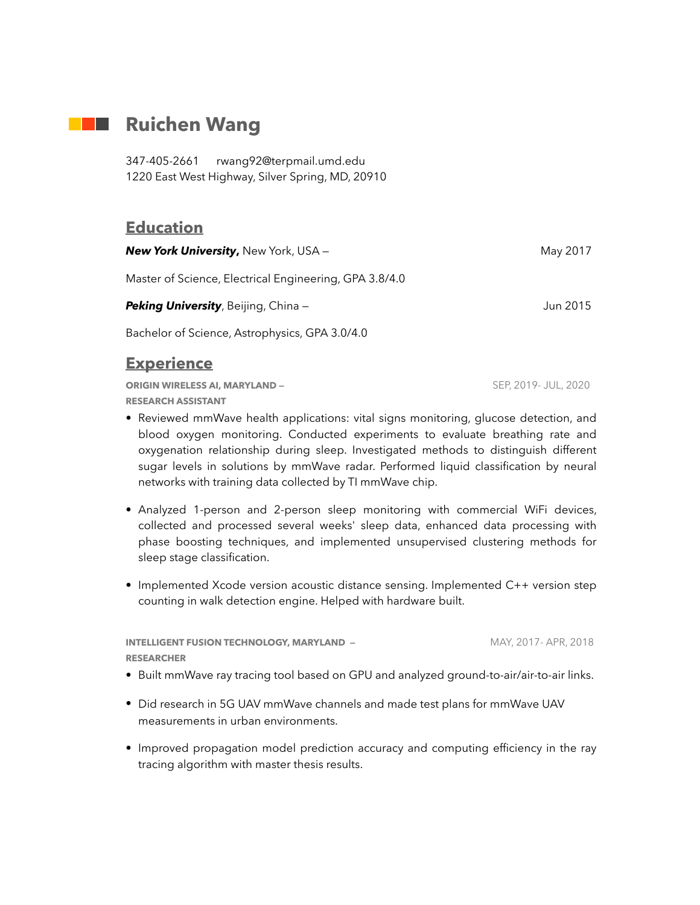### **Ruichen Wang**

347-405-2661 rwang92@terpmail.umd.edu 1220 East West Highway, Silver Spring, MD, 20910

#### **Education**

**New York University,** New York, USA – May 2017

Master of Science, Electrical Engineering, GPA 3.8/4.0

**Peking University**, Beijing, China — **June 2015** Superstanding the Manual Museum of the Museum of the Museum of the Museum of the Museum of the Museum of the Museum of the Museum of the Museum of the Museum of the Museum

Bachelor of Science, Astrophysics, GPA 3.0/4.0

### **Experience**

**ORIGIN WIRELESS AI, MARYLAND —** SEP, 2019- JUL, 2020 **RESEARCH ASSISTANT** 

• Reviewed mmWave health applications: vital signs monitoring, glucose detection, and blood oxygen monitoring. Conducted experiments to evaluate breathing rate and oxygenation relationship during sleep. Investigated methods to distinguish different sugar levels in solutions by mmWave radar. Performed liquid classification by neural networks with training data collected by TI mmWave chip.

- Analyzed 1-person and 2-person sleep monitoring with commercial WiFi devices, collected and processed several weeks' sleep data, enhanced data processing with phase boosting techniques, and implemented unsupervised clustering methods for sleep stage classification.
- Implemented Xcode version acoustic distance sensing. Implemented C++ version step counting in walk detection engine. Helped with hardware built.

**INTELLIGENT FUSION TECHNOLOGY, MARYLAND –** MAY, 2017- APR, 2018 **RESEARCHER** 

- Built mmWave ray tracing tool based on GPU and analyzed ground-to-air/air-to-air links.
- Did research in 5G UAV mmWave channels and made test plans for mmWave UAV measurements in urban environments.
- Improved propagation model prediction accuracy and computing efficiency in the ray tracing algorithm with master thesis results.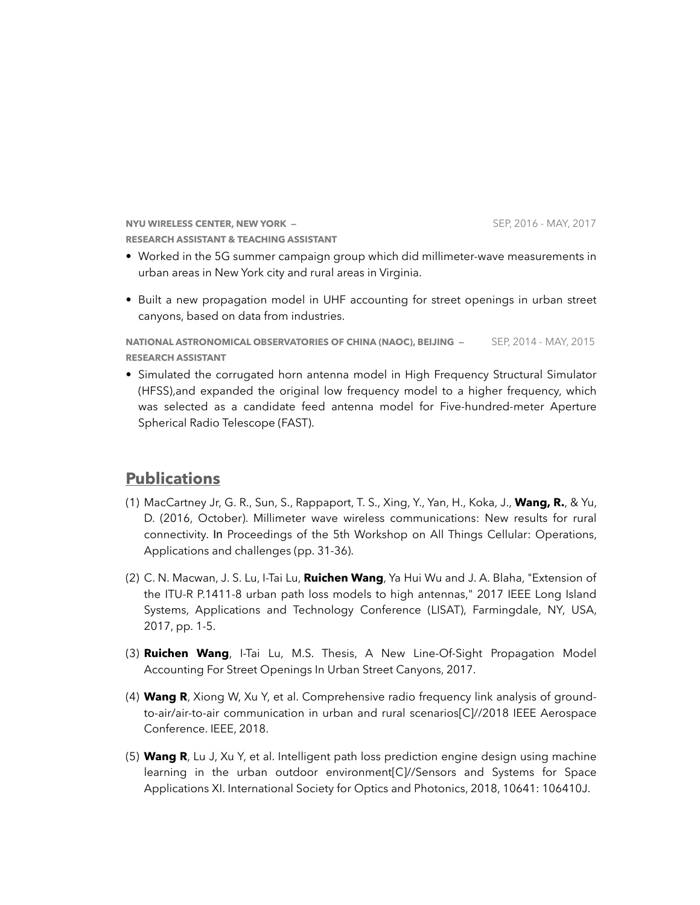**NYU WIRELESS CENTER, NEW YORK —** SEP, 2016 - MAY, 2017 **RESEARCH ASSISTANT & TEACHING ASSISTANT** 

- Worked in the 5G summer campaign group which did millimeter-wave measurements in urban areas in New York city and rural areas in Virginia.
- Built a new propagation model in UHF accounting for street openings in urban street canyons, based on data from industries.

**NATIONAL ASTRONOMICAL OBSERVATORIES OF CHINA (NAOC), BEIJING - SEP, 2014 - MAY, 2015 RESEARCH ASSISTANT** 

• Simulated the corrugated horn antenna model in High Frequency Structural Simulator (HFSS),and expanded the original low frequency model to a higher frequency, which was selected as a candidate feed antenna model for Five-hundred-meter Aperture Spherical Radio Telescope (FAST).

### **Publications**

- (1) MacCartney Jr, G. R., Sun, S., Rappaport, T. S., Xing, Y., Yan, H., Koka, J., **Wang, R.**, & Yu, D. (2016, October). Millimeter wave wireless communications: New results for rural connectivity. In Proceedings of the 5th Workshop on All Things Cellular: Operations, Applications and challenges (pp. 31-36).
- (2) C. N. Macwan, J. S. Lu, I-Tai Lu, **Ruichen Wang**, Ya Hui Wu and J. A. Blaha, "Extension of the ITU-R P.1411-8 urban path loss models to high antennas," 2017 IEEE Long Island Systems, Applications and Technology Conference (LISAT), Farmingdale, NY, USA, 2017, pp. 1-5.
- (3) **Ruichen Wang**, I-Tai Lu, M.S. Thesis, A New Line-Of-Sight Propagation Model Accounting For Street Openings In Urban Street Canyons, 2017.
- (4) **Wang R**, Xiong W, Xu Y, et al. Comprehensive radio frequency link analysis of groundto-air/air-to-air communication in urban and rural scenarios[C]//2018 IEEE Aerospace Conference. IEEE, 2018.
- (5) **Wang R**, Lu J, Xu Y, et al. Intelligent path loss prediction engine design using machine learning in the urban outdoor environment[C]//Sensors and Systems for Space Applications XI. International Society for Optics and Photonics, 2018, 10641: 106410J.